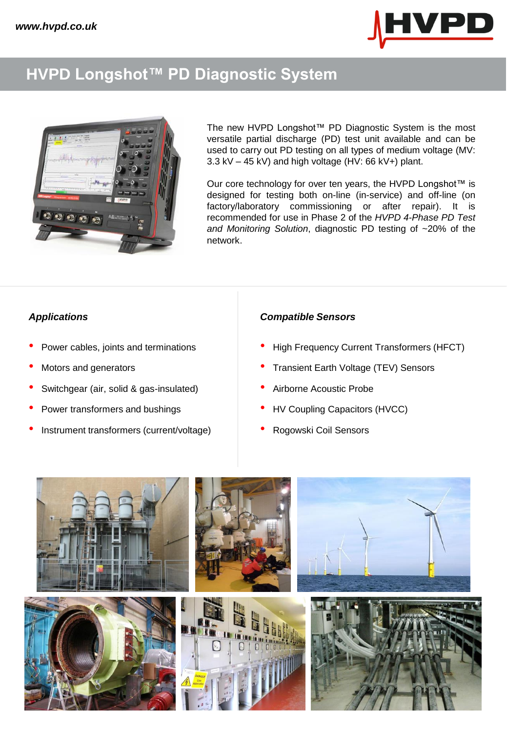

### **HVPD Longshot™ PD Diagnostic System**



The new HVPD Longshot™ PD Diagnostic System is the most versatile partial discharge (PD) test unit available and can be used to carry out PD testing on all types of medium voltage (MV: 3.3 kV – 45 kV) and high voltage (HV: 66 kV+) plant.

Our core technology for over ten years, the HVPD Longshot™ is designed for testing both on-line (in-service) and off-line (on factory/laboratory commissioning or after repair). It is recommended for use in Phase 2 of the *HVPD 4-Phase PD Test and Monitoring Solution*, diagnostic PD testing of ~20% of the network.

- 
- 
- Switchgear (air, solid & gas-insulated) Airborne Acoustic Probe
- 
- Instrument transformers (current/voltage) Rogowski Coil Sensors

### *Applications Compatible Sensors*

- Power cables, joints and terminations High Frequency Current Transformers (HFCT)
- Motors and generators Transient Earth Voltage (TEV) Sensors
	-
- Power transformers and bushings **•** HV Coupling Capacitors (HVCC)
	-

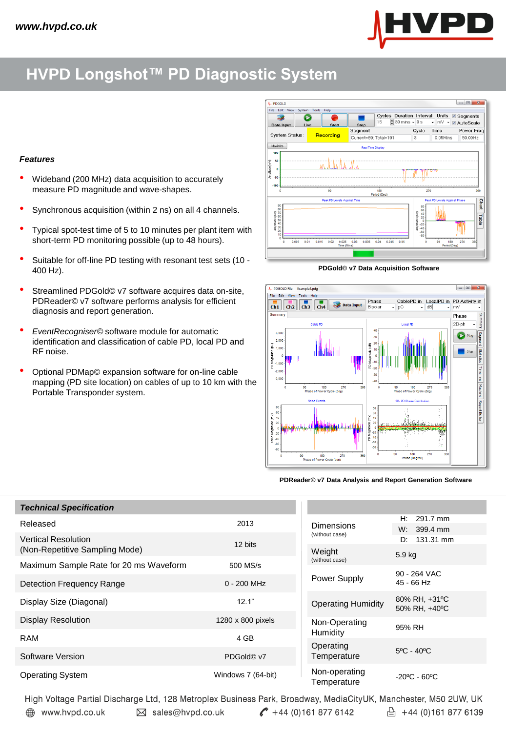

## **HVPD Longshot™ PD Diagnostic System**

#### *Features*

- Wideband (200 MHz) data acquisition to accurately measure PD magnitude and wave-shapes.
- Synchronous acquisition (within 2 ns) on all 4 channels.
- Typical spot-test time of 5 to 10 minutes per plant item with short-term PD monitoring possible (up to 48 hours).
- Suitable for off-line PD testing with resonant test sets (10 400 Hz).
- Streamlined PDGold© v7 software acquires data on-site, PDReader© v7 software performs analysis for efficient diagnosis and report generation.
- *EventRecogniser©* software module for automatic identification and classification of cable PD, local PD and RF noise.
- Optional PDMap© expansion software for on-line cable mapping (PD site location) on cables of up to 10 km with the Portable Transponder system.



**PDGold© v7 Data Acquisition Software**



**PDReader© v7 Data Analysis and Report Generation Software**

| <b>Technical Specification</b>                               |                        |                                                       |                                   |
|--------------------------------------------------------------|------------------------|-------------------------------------------------------|-----------------------------------|
| Released                                                     | 2013                   | <b>Dimensions</b>                                     | 291.7 mm<br>Н.<br>W.<br>399.4 mm  |
| <b>Vertical Resolution</b><br>(Non-Repetitive Sampling Mode) | 12 bits                | (without case)<br>Weight                              | 131.31 mm<br>D.                   |
| Maximum Sample Rate for 20 ms Waveform                       | 500 MS/s               | (without case)                                        | 5.9 kg                            |
|                                                              | $0 - 200$ MHz          | Power Supply                                          | 90 - 264 VAC<br>$45 - 66$ Hz      |
| <b>Detection Frequency Range</b>                             |                        |                                                       |                                   |
| Display Size (Diagonal)                                      | 12.1"                  | <b>Operating Humidity</b>                             | 80% RH, +31°C<br>50% RH, +40°C    |
| <b>Display Resolution</b>                                    | 1280 x 800 pixels      | Non-Operating<br>Humidity<br>Operating<br>Temperature | 95% RH                            |
| <b>RAM</b>                                                   | 4 GB                   |                                                       |                                   |
|                                                              |                        |                                                       | $5^{\circ}$ C - 40 $^{\circ}$ C   |
| Software Version                                             | PDGold <sup>©</sup> v7 |                                                       |                                   |
| <b>Operating System</b>                                      | Windows 7 (64-bit)     | Non-operating<br>Temperature                          | $-20^{\circ}$ C - 60 $^{\circ}$ C |

High Voltage Partial Discharge Ltd, 128 Metroplex Business Park, Broadway, MediaCityUK, Manchester, M50 2UW, UK  $44$  (0)161 877 6142  $\frac{1}{2}$  +44 (0)161 877 6139 www.hvpd.co.uk ⊠ sales@hvpd.co.uk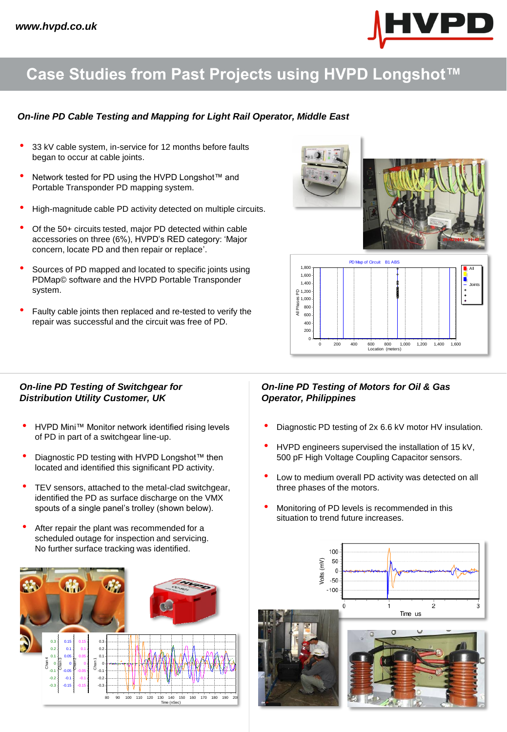

# **Case Studies from Past Projects using HVPD Longshot™**

#### *On-line PD Cable Testing and Mapping for Light Rail Operator, Middle East*

- 33 kV cable system, in-service for 12 months before faults began to occur at cable joints.
- Network tested for PD using the HVPD Longshot™ and Portable Transponder PD mapping system.
- High-magnitude cable PD activity detected on multiple circuits.
- Of the 50+ circuits tested, major PD detected within cable accessories on three (6%), HVPD's RED category: 'Major concern, locate PD and then repair or replace'.
- Sources of PD mapped and located to specific joints using PDMap© software and the HVPD Portable Transponder system.
- Faulty cable joints then replaced and re-tested to verify the repair was successful and the circuit was free of PD.



#### *On-line PD Testing of Switchgear for Distribution Utility Customer, UK*

- HVPD Mini™ Monitor network identified rising levels of PD in part of a switchgear line-up.
- Diagnostic PD testing with HVPD Longshot™ then located and identified this significant PD activity.
- TEV sensors, attached to the metal-clad switchgear, identified the PD as surface discharge on the VMX spouts of a single panel's trolley (shown below).
- After repair the plant was recommended for a scheduled outage for inspection and servicing. No further surface tracking was identified.



#### *On-line PD Testing of Motors for Oil & Gas Operator, Philippines*

0

• Diagnostic PD testing of 2x 6.6 kV motor HV insulation.

Location (meters) 0 200 400 600 800 1,000 1,200 1,400 1,600

- HVPD engineers supervised the installation of 15 kV, 500 pF High Voltage Coupling Capacitor sensors.
- Low to medium overall PD activity was detected on all three phases of the motors.
- Monitoring of PD levels is recommended in this situation to trend future increases.